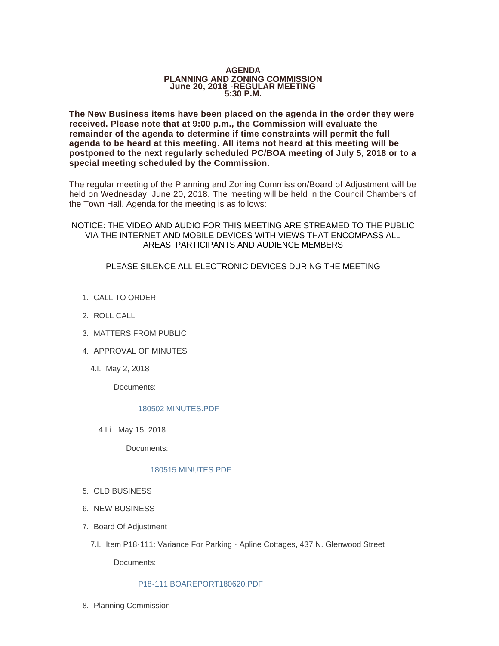#### **AGENDA PLANNING AND ZONING COMMISSION June 20, 2018 -REGULAR MEETING 5:30 P.M.**

**The New Business items have been placed on the agenda in the order they were received. Please note that at 9:00 p.m., the Commission will evaluate the remainder of the agenda to determine if time constraints will permit the full agenda to be heard at this meeting. All items not heard at this meeting will be postponed to the next regularly scheduled PC/BOA meeting of July 5, 2018 or to a special meeting scheduled by the Commission.**

The regular meeting of the Planning and Zoning Commission/Board of Adjustment will be held on Wednesday, June 20, 2018. The meeting will be held in the Council Chambers of the Town Hall. Agenda for the meeting is as follows:

NOTICE: THE VIDEO AND AUDIO FOR THIS MEETING ARE STREAMED TO THE PUBLIC VIA THE INTERNET AND MOBILE DEVICES WITH VIEWS THAT ENCOMPASS ALL AREAS, PARTICIPANTS AND AUDIENCE MEMBERS

PLEASE SILENCE ALL ELECTRONIC DEVICES DURING THE MEETING

- 1. CALL TO ORDER
- 2. ROLL CALL
- MATTERS FROM PUBLIC 3.
- 4. APPROVAL OF MINUTES
	- 4.l. May 2, 2018

Documents:

## [180502 MINUTES.PDF](http://www.jacksonwy.gov/AgendaCenter/ViewFile/Item/1299?fileID=3762)

4.I.i. May 15, 2018

Documents:

### [180515 MINUTES.PDF](http://www.jacksonwy.gov/AgendaCenter/ViewFile/Item/1300?fileID=3763)

- 5. OLD BUSINESS
- 6. NEW BUSINESS
- 7. Board Of Adjustment
	- 7.I. Item P18-111: Variance For Parking Apline Cottages, 437 N. Glenwood Street

Documents:

### [P18-111 BOAREPORT180620.PDF](http://www.jacksonwy.gov/AgendaCenter/ViewFile/Item/1273?fileID=3760)

8. Planning Commission